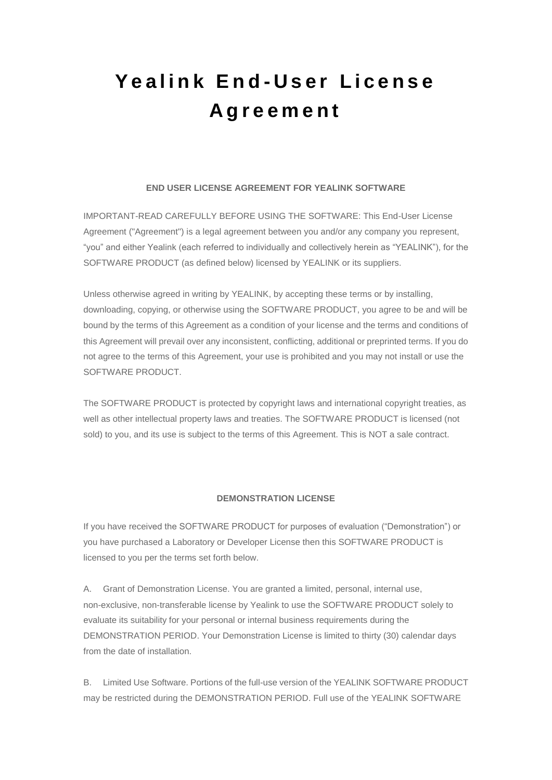# **Y e a l i n k E n d - U s e r L i c e n s e A g r e e m e n t**

## **END USER LICENSE AGREEMENT FOR YEALINK SOFTWARE**

IMPORTANT-READ CAREFULLY BEFORE USING THE SOFTWARE: This End-User License Agreement ("Agreement") is a legal agreement between you and/or any company you represent, "you" and either Yealink (each referred to individually and collectively herein as "YEALINK"), for the SOFTWARE PRODUCT (as defined below) licensed by YEALINK or its suppliers.

Unless otherwise agreed in writing by YEALINK, by accepting these terms or by installing, downloading, copying, or otherwise using the SOFTWARE PRODUCT, you agree to be and will be bound by the terms of this Agreement as a condition of your license and the terms and conditions of this Agreement will prevail over any inconsistent, conflicting, additional or preprinted terms. If you do not agree to the terms of this Agreement, your use is prohibited and you may not install or use the SOFTWARE PRODUCT.

The SOFTWARE PRODUCT is protected by copyright laws and international copyright treaties, as well as other intellectual property laws and treaties. The SOFTWARE PRODUCT is licensed (not sold) to you, and its use is subject to the terms of this Agreement. This is NOT a sale contract.

#### **DEMONSTRATION LICENSE**

If you have received the SOFTWARE PRODUCT for purposes of evaluation ("Demonstration") or you have purchased a Laboratory or Developer License then this SOFTWARE PRODUCT is licensed to you per the terms set forth below.

A. Grant of Demonstration License. You are granted a limited, personal, internal use, non-exclusive, non-transferable license by Yealink to use the SOFTWARE PRODUCT solely to evaluate its suitability for your personal or internal business requirements during the DEMONSTRATION PERIOD. Your Demonstration License is limited to thirty (30) calendar days from the date of installation.

B. Limited Use Software. Portions of the full-use version of the YEALINK SOFTWARE PRODUCT may be restricted during the DEMONSTRATION PERIOD. Full use of the YEALINK SOFTWARE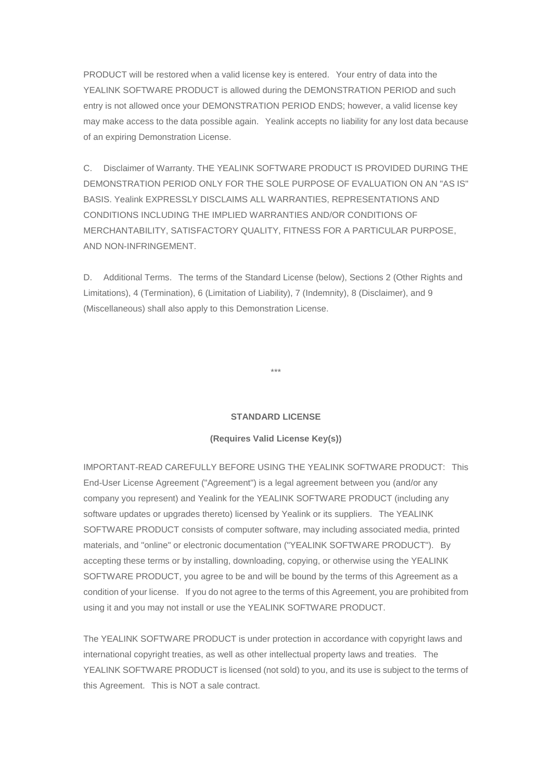PRODUCT will be restored when a valid license key is entered. Your entry of data into the YEALINK SOFTWARE PRODUCT is allowed during the DEMONSTRATION PERIOD and such entry is not allowed once your DEMONSTRATION PERIOD ENDS; however, a valid license key may make access to the data possible again. Yealink accepts no liability for any lost data because of an expiring Demonstration License.

C. Disclaimer of Warranty. THE YEALINK SOFTWARE PRODUCT IS PROVIDED DURING THE DEMONSTRATION PERIOD ONLY FOR THE SOLE PURPOSE OF EVALUATION ON AN "AS IS" BASIS. Yealink EXPRESSLY DISCLAIMS ALL WARRANTIES, REPRESENTATIONS AND CONDITIONS INCLUDING THE IMPLIED WARRANTIES AND/OR CONDITIONS OF MERCHANTABILITY, SATISFACTORY QUALITY, FITNESS FOR A PARTICULAR PURPOSE, AND NON-INFRINGEMENT.

D. Additional Terms. The terms of the Standard License (below), Sections 2 (Other Rights and Limitations), 4 (Termination), 6 (Limitation of Liability), 7 (Indemnity), 8 (Disclaimer), and 9 (Miscellaneous) shall also apply to this Demonstration License.

\*\*\*

#### **STANDARD LICENSE**

#### **(Requires Valid License Key(s))**

IMPORTANT-READ CAREFULLY BEFORE USING THE YEALINK SOFTWARE PRODUCT: This End-User License Agreement ("Agreement") is a legal agreement between you (and/or any company you represent) and Yealink for the YEALINK SOFTWARE PRODUCT (including any software updates or upgrades thereto) licensed by Yealink or its suppliers. The YEALINK SOFTWARE PRODUCT consists of computer software, may including associated media, printed materials, and "online" or electronic documentation ("YEALINK SOFTWARE PRODUCT"). By accepting these terms or by installing, downloading, copying, or otherwise using the YEALINK SOFTWARE PRODUCT, you agree to be and will be bound by the terms of this Agreement as a condition of your license. If you do not agree to the terms of this Agreement, you are prohibited from using it and you may not install or use the YEALINK SOFTWARE PRODUCT.

The YEALINK SOFTWARE PRODUCT is under protection in accordance with copyright laws and international copyright treaties, as well as other intellectual property laws and treaties. The YEALINK SOFTWARE PRODUCT is licensed (not sold) to you, and its use is subject to the terms of this Agreement. This is NOT a sale contract.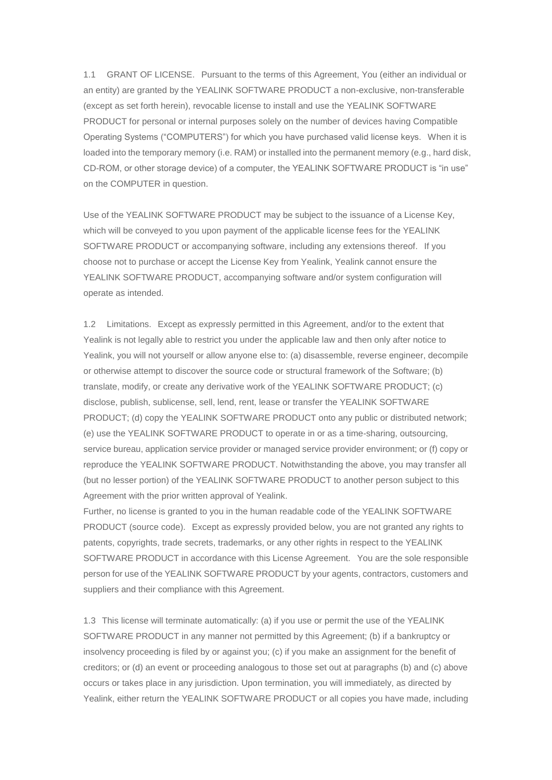1.1 GRANT OF LICENSE. Pursuant to the terms of this Agreement, You (either an individual or an entity) are granted by the YEALINK SOFTWARE PRODUCT a non-exclusive, non-transferable (except as set forth herein), revocable license to install and use the YEALINK SOFTWARE PRODUCT for personal or internal purposes solely on the number of devices having Compatible Operating Systems ("COMPUTERS") for which you have purchased valid license keys. When it is loaded into the temporary memory (i.e. RAM) or installed into the permanent memory (e.g., hard disk, CD-ROM, or other storage device) of a computer, the YEALINK SOFTWARE PRODUCT is "in use" on the COMPUTER in question.

Use of the YEALINK SOFTWARE PRODUCT may be subject to the issuance of a License Key, which will be conveyed to you upon payment of the applicable license fees for the YEALINK SOFTWARE PRODUCT or accompanying software, including any extensions thereof. If you choose not to purchase or accept the License Key from Yealink, Yealink cannot ensure the YEALINK SOFTWARE PRODUCT, accompanying software and/or system configuration will operate as intended.

1.2 Limitations. Except as expressly permitted in this Agreement, and/or to the extent that Yealink is not legally able to restrict you under the applicable law and then only after notice to Yealink, you will not yourself or allow anyone else to: (a) disassemble, reverse engineer, decompile or otherwise attempt to discover the source code or structural framework of the Software; (b) translate, modify, or create any derivative work of the YEALINK SOFTWARE PRODUCT; (c) disclose, publish, sublicense, sell, lend, rent, lease or transfer the YEALINK SOFTWARE PRODUCT; (d) copy the YEALINK SOFTWARE PRODUCT onto any public or distributed network; (e) use the YEALINK SOFTWARE PRODUCT to operate in or as a time-sharing, outsourcing, service bureau, application service provider or managed service provider environment; or (f) copy or reproduce the YEALINK SOFTWARE PRODUCT. Notwithstanding the above, you may transfer all (but no lesser portion) of the YEALINK SOFTWARE PRODUCT to another person subject to this Agreement with the prior written approval of Yealink.

Further, no license is granted to you in the human readable code of the YEALINK SOFTWARE PRODUCT (source code). Except as expressly provided below, you are not granted any rights to patents, copyrights, trade secrets, trademarks, or any other rights in respect to the YEALINK SOFTWARE PRODUCT in accordance with this License Agreement. You are the sole responsible person for use of the YEALINK SOFTWARE PRODUCT by your agents, contractors, customers and suppliers and their compliance with this Agreement.

1.3 This license will terminate automatically: (a) if you use or permit the use of the YEALINK SOFTWARE PRODUCT in any manner not permitted by this Agreement; (b) if a bankruptcy or insolvency proceeding is filed by or against you; (c) if you make an assignment for the benefit of creditors; or (d) an event or proceeding analogous to those set out at paragraphs (b) and (c) above occurs or takes place in any jurisdiction. Upon termination, you will immediately, as directed by Yealink, either return the YEALINK SOFTWARE PRODUCT or all copies you have made, including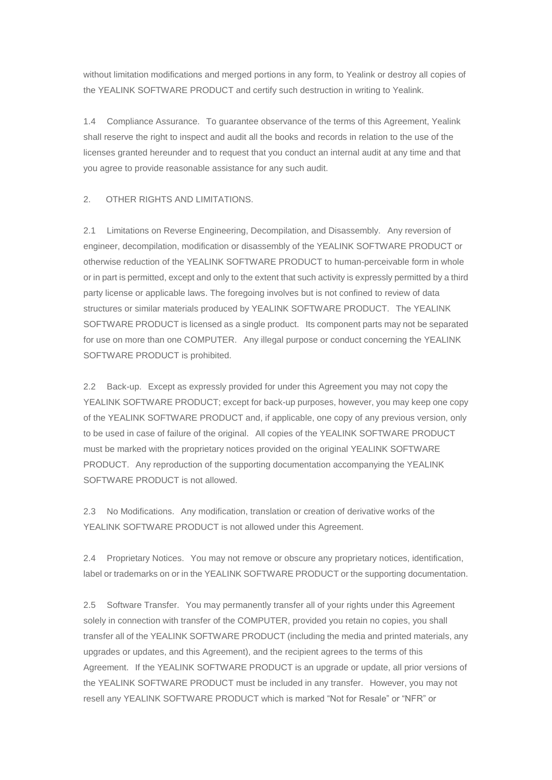without limitation modifications and merged portions in any form, to Yealink or destroy all copies of the YEALINK SOFTWARE PRODUCT and certify such destruction in writing to Yealink.

1.4 Compliance Assurance. To guarantee observance of the terms of this Agreement, Yealink shall reserve the right to inspect and audit all the books and records in relation to the use of the licenses granted hereunder and to request that you conduct an internal audit at any time and that you agree to provide reasonable assistance for any such audit.

2. OTHER RIGHTS AND LIMITATIONS.

2.1 Limitations on Reverse Engineering, Decompilation, and Disassembly. Any reversion of engineer, decompilation, modification or disassembly of the YEALINK SOFTWARE PRODUCT or otherwise reduction of the YEALINK SOFTWARE PRODUCT to human-perceivable form in whole or in part is permitted, except and only to the extent that such activity is expressly permitted by a third party license or applicable laws. The foregoing involves but is not confined to review of data structures or similar materials produced by YEALINK SOFTWARE PRODUCT. The YEALINK SOFTWARE PRODUCT is licensed as a single product. Its component parts may not be separated for use on more than one COMPUTER. Any illegal purpose or conduct concerning the YEALINK SOFTWARE PRODUCT is prohibited.

2.2 Back-up. Except as expressly provided for under this Agreement you may not copy the YEALINK SOFTWARE PRODUCT; except for back-up purposes, however, you may keep one copy of the YEALINK SOFTWARE PRODUCT and, if applicable, one copy of any previous version, only to be used in case of failure of the original. All copies of the YEALINK SOFTWARE PRODUCT must be marked with the proprietary notices provided on the original YEALINK SOFTWARE PRODUCT. Any reproduction of the supporting documentation accompanying the YEALINK SOFTWARE PRODUCT is not allowed.

2.3 No Modifications. Any modification, translation or creation of derivative works of the YEALINK SOFTWARE PRODUCT is not allowed under this Agreement.

2.4 Proprietary Notices. You may not remove or obscure any proprietary notices, identification, label or trademarks on or in the YEALINK SOFTWARE PRODUCT or the supporting documentation.

2.5 Software Transfer. You may permanently transfer all of your rights under this Agreement solely in connection with transfer of the COMPUTER, provided you retain no copies, you shall transfer all of the YEALINK SOFTWARE PRODUCT (including the media and printed materials, any upgrades or updates, and this Agreement), and the recipient agrees to the terms of this Agreement. If the YEALINK SOFTWARE PRODUCT is an upgrade or update, all prior versions of the YEALINK SOFTWARE PRODUCT must be included in any transfer. However, you may not resell any YEALINK SOFTWARE PRODUCT which is marked "Not for Resale" or "NFR" or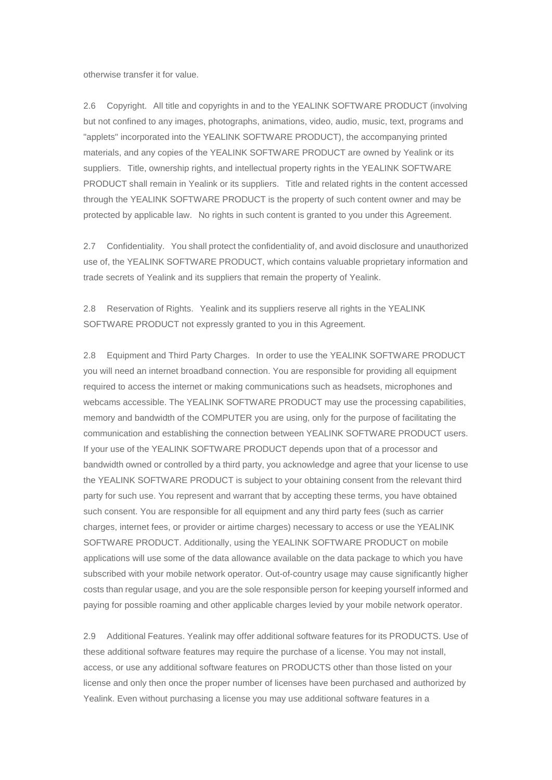otherwise transfer it for value.

2.6 Copyright. All title and copyrights in and to the YEALINK SOFTWARE PRODUCT (involving but not confined to any images, photographs, animations, video, audio, music, text, programs and "applets" incorporated into the YEALINK SOFTWARE PRODUCT), the accompanying printed materials, and any copies of the YEALINK SOFTWARE PRODUCT are owned by Yealink or its suppliers. Title, ownership rights, and intellectual property rights in the YEALINK SOFTWARE PRODUCT shall remain in Yealink or its suppliers. Title and related rights in the content accessed through the YEALINK SOFTWARE PRODUCT is the property of such content owner and may be protected by applicable law. No rights in such content is granted to you under this Agreement.

2.7 Confidentiality. You shall protect the confidentiality of, and avoid disclosure and unauthorized use of, the YEALINK SOFTWARE PRODUCT, which contains valuable proprietary information and trade secrets of Yealink and its suppliers that remain the property of Yealink.

2.8 Reservation of Rights. Yealink and its suppliers reserve all rights in the YEALINK SOFTWARE PRODUCT not expressly granted to you in this Agreement.

2.8 Equipment and Third Party Charges. In order to use the YEALINK SOFTWARE PRODUCT you will need an internet broadband connection. You are responsible for providing all equipment required to access the internet or making communications such as headsets, microphones and webcams accessible. The YEALINK SOFTWARE PRODUCT may use the processing capabilities, memory and bandwidth of the COMPUTER you are using, only for the purpose of facilitating the communication and establishing the connection between YEALINK SOFTWARE PRODUCT users. If your use of the YEALINK SOFTWARE PRODUCT depends upon that of a processor and bandwidth owned or controlled by a third party, you acknowledge and agree that your license to use the YEALINK SOFTWARE PRODUCT is subject to your obtaining consent from the relevant third party for such use. You represent and warrant that by accepting these terms, you have obtained such consent. You are responsible for all equipment and any third party fees (such as carrier charges, internet fees, or provider or airtime charges) necessary to access or use the YEALINK SOFTWARE PRODUCT. Additionally, using the YEALINK SOFTWARE PRODUCT on mobile applications will use some of the data allowance available on the data package to which you have subscribed with your mobile network operator. Out-of-country usage may cause significantly higher costs than regular usage, and you are the sole responsible person for keeping yourself informed and paying for possible roaming and other applicable charges levied by your mobile network operator.

2.9 Additional Features. Yealink may offer additional software features for its PRODUCTS. Use of these additional software features may require the purchase of a license. You may not install, access, or use any additional software features on PRODUCTS other than those listed on your license and only then once the proper number of licenses have been purchased and authorized by Yealink. Even without purchasing a license you may use additional software features in a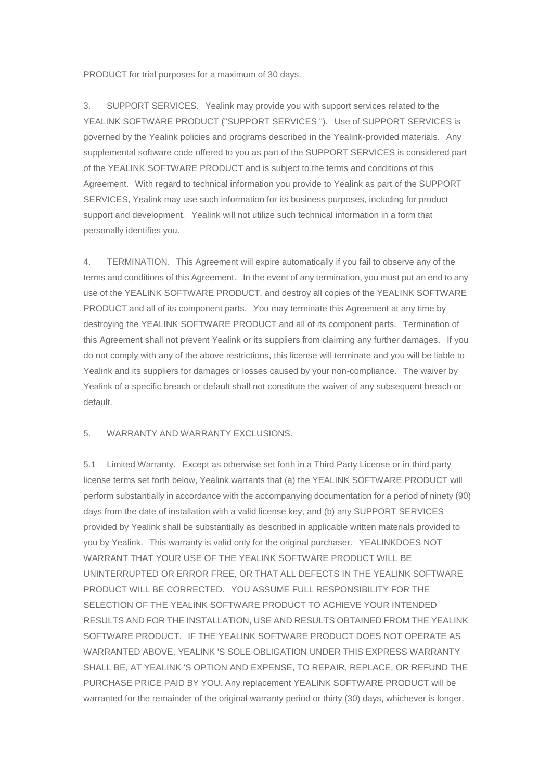PRODUCT for trial purposes for a maximum of 30 days.

3. SUPPORT SERVICES. Yealink may provide you with support services related to the YEALINK SOFTWARE PRODUCT ("SUPPORT SERVICES "). Use of SUPPORT SERVICES is governed by the Yealink policies and programs described in the Yealink-provided materials. Any supplemental software code offered to you as part of the SUPPORT SERVICES is considered part of the YEALINK SOFTWARE PRODUCT and is subject to the terms and conditions of this Agreement. With regard to technical information you provide to Yealink as part of the SUPPORT SERVICES, Yealink may use such information for its business purposes, including for product support and development. Yealink will not utilize such technical information in a form that personally identifies you.

4. TERMINATION. This Agreement will expire automatically if you fail to observe any of the terms and conditions of this Agreement. In the event of any termination, you must put an end to any use of the YEALINK SOFTWARE PRODUCT, and destroy all copies of the YEALINK SOFTWARE PRODUCT and all of its component parts. You may terminate this Agreement at any time by destroying the YEALINK SOFTWARE PRODUCT and all of its component parts. Termination of this Agreement shall not prevent Yealink or its suppliers from claiming any further damages. If you do not comply with any of the above restrictions, this license will terminate and you will be liable to Yealink and its suppliers for damages or losses caused by your non-compliance. The waiver by Yealink of a specific breach or default shall not constitute the waiver of any subsequent breach or default.

## 5. WARRANTY AND WARRANTY EXCLUSIONS.

5.1 Limited Warranty. Except as otherwise set forth in a Third Party License or in third party license terms set forth below, Yealink warrants that (a) the YEALINK SOFTWARE PRODUCT will perform substantially in accordance with the accompanying documentation for a period of ninety (90) days from the date of installation with a valid license key, and (b) any SUPPORT SERVICES provided by Yealink shall be substantially as described in applicable written materials provided to you by Yealink. This warranty is valid only for the original purchaser. YEALINKDOES NOT WARRANT THAT YOUR USE OF THE YEALINK SOFTWARE PRODUCT WILL BE UNINTERRUPTED OR ERROR FREE, OR THAT ALL DEFECTS IN THE YEALINK SOFTWARE PRODUCT WILL BE CORRECTED. YOU ASSUME FULL RESPONSIBILITY FOR THE SELECTION OF THE YEALINK SOFTWARE PRODUCT TO ACHIEVE YOUR INTENDED RESULTS AND FOR THE INSTALLATION, USE AND RESULTS OBTAINED FROM THE YEALINK SOFTWARE PRODUCT. IF THE YEALINK SOFTWARE PRODUCT DOES NOT OPERATE AS WARRANTED ABOVE, YEALINK 'S SOLE OBLIGATION UNDER THIS EXPRESS WARRANTY SHALL BE, AT YEALINK 'S OPTION AND EXPENSE, TO REPAIR, REPLACE, OR REFUND THE PURCHASE PRICE PAID BY YOU. Any replacement YEALINK SOFTWARE PRODUCT will be warranted for the remainder of the original warranty period or thirty (30) days, whichever is longer.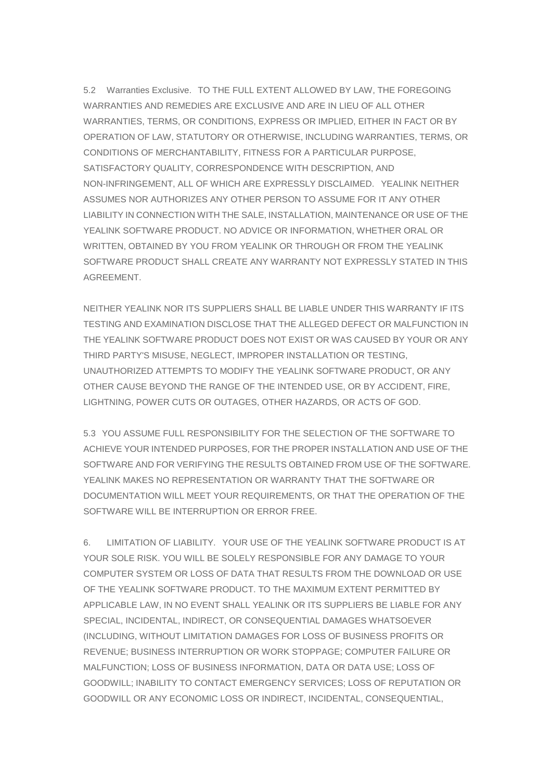5.2 Warranties Exclusive. TO THE FULL EXTENT ALLOWED BY LAW, THE FOREGOING WARRANTIES AND REMEDIES ARE EXCLUSIVE AND ARE IN LIEU OF ALL OTHER WARRANTIES, TERMS, OR CONDITIONS, EXPRESS OR IMPLIED, EITHER IN FACT OR BY OPERATION OF LAW, STATUTORY OR OTHERWISE, INCLUDING WARRANTIES, TERMS, OR CONDITIONS OF MERCHANTABILITY, FITNESS FOR A PARTICULAR PURPOSE, SATISFACTORY QUALITY, CORRESPONDENCE WITH DESCRIPTION, AND NON-INFRINGEMENT, ALL OF WHICH ARE EXPRESSLY DISCLAIMED. YEALINK NEITHER ASSUMES NOR AUTHORIZES ANY OTHER PERSON TO ASSUME FOR IT ANY OTHER LIABILITY IN CONNECTION WITH THE SALE, INSTALLATION, MAINTENANCE OR USE OF THE YEALINK SOFTWARE PRODUCT. NO ADVICE OR INFORMATION, WHETHER ORAL OR WRITTEN, OBTAINED BY YOU FROM YEALINK OR THROUGH OR FROM THE YEALINK SOFTWARE PRODUCT SHALL CREATE ANY WARRANTY NOT EXPRESSLY STATED IN THIS AGREEMENT.

NEITHER YEALINK NOR ITS SUPPLIERS SHALL BE LIABLE UNDER THIS WARRANTY IF ITS TESTING AND EXAMINATION DISCLOSE THAT THE ALLEGED DEFECT OR MALFUNCTION IN THE YEALINK SOFTWARE PRODUCT DOES NOT EXIST OR WAS CAUSED BY YOUR OR ANY THIRD PARTY'S MISUSE, NEGLECT, IMPROPER INSTALLATION OR TESTING, UNAUTHORIZED ATTEMPTS TO MODIFY THE YEALINK SOFTWARE PRODUCT, OR ANY OTHER CAUSE BEYOND THE RANGE OF THE INTENDED USE, OR BY ACCIDENT, FIRE, LIGHTNING, POWER CUTS OR OUTAGES, OTHER HAZARDS, OR ACTS OF GOD.

5.3 YOU ASSUME FULL RESPONSIBILITY FOR THE SELECTION OF THE SOFTWARE TO ACHIEVE YOUR INTENDED PURPOSES, FOR THE PROPER INSTALLATION AND USE OF THE SOFTWARE AND FOR VERIFYING THE RESULTS OBTAINED FROM USE OF THE SOFTWARE. YEALINK MAKES NO REPRESENTATION OR WARRANTY THAT THE SOFTWARE OR DOCUMENTATION WILL MEET YOUR REQUIREMENTS, OR THAT THE OPERATION OF THE SOFTWARE WILL BE INTERRUPTION OR ERROR FREE.

6. LIMITATION OF LIABILITY. YOUR USE OF THE YEALINK SOFTWARE PRODUCT IS AT YOUR SOLE RISK. YOU WILL BE SOLELY RESPONSIBLE FOR ANY DAMAGE TO YOUR COMPUTER SYSTEM OR LOSS OF DATA THAT RESULTS FROM THE DOWNLOAD OR USE OF THE YEALINK SOFTWARE PRODUCT. TO THE MAXIMUM EXTENT PERMITTED BY APPLICABLE LAW, IN NO EVENT SHALL YEALINK OR ITS SUPPLIERS BE LIABLE FOR ANY SPECIAL, INCIDENTAL, INDIRECT, OR CONSEQUENTIAL DAMAGES WHATSOEVER (INCLUDING, WITHOUT LIMITATION DAMAGES FOR LOSS OF BUSINESS PROFITS OR REVENUE; BUSINESS INTERRUPTION OR WORK STOPPAGE; COMPUTER FAILURE OR MALFUNCTION; LOSS OF BUSINESS INFORMATION, DATA OR DATA USE; LOSS OF GOODWILL; INABILITY TO CONTACT EMERGENCY SERVICES; LOSS OF REPUTATION OR GOODWILL OR ANY ECONOMIC LOSS OR INDIRECT, INCIDENTAL, CONSEQUENTIAL,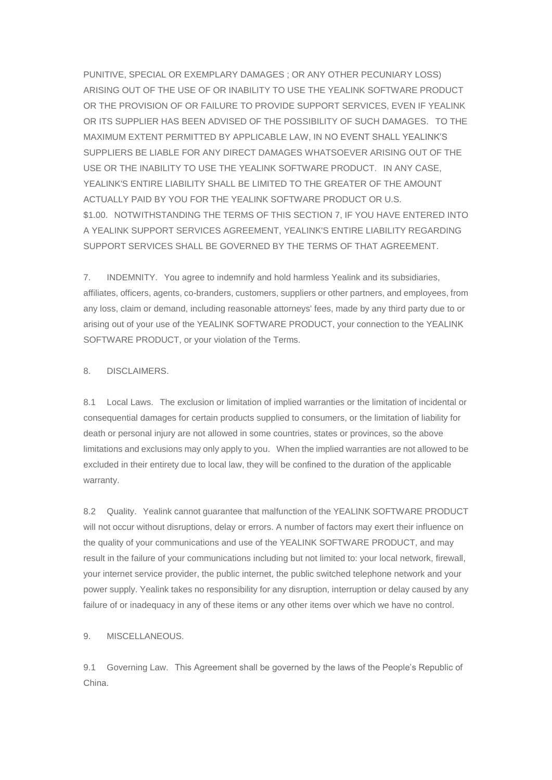PUNITIVE, SPECIAL OR EXEMPLARY DAMAGES ; OR ANY OTHER PECUNIARY LOSS) ARISING OUT OF THE USE OF OR INABILITY TO USE THE YEALINK SOFTWARE PRODUCT OR THE PROVISION OF OR FAILURE TO PROVIDE SUPPORT SERVICES, EVEN IF YEALINK OR ITS SUPPLIER HAS BEEN ADVISED OF THE POSSIBILITY OF SUCH DAMAGES. TO THE MAXIMUM EXTENT PERMITTED BY APPLICABLE LAW, IN NO EVENT SHALL YEALINK'S SUPPLIERS BE LIABLE FOR ANY DIRECT DAMAGES WHATSOEVER ARISING OUT OF THE USE OR THE INABILITY TO USE THE YEALINK SOFTWARE PRODUCT. IN ANY CASE, YEALINK'S ENTIRE LIABILITY SHALL BE LIMITED TO THE GREATER OF THE AMOUNT ACTUALLY PAID BY YOU FOR THE YEALINK SOFTWARE PRODUCT OR U.S. \$1.00. NOTWITHSTANDING THE TERMS OF THIS SECTION 7, IF YOU HAVE ENTERED INTO A YEALINK SUPPORT SERVICES AGREEMENT, YEALINK'S ENTIRE LIABILITY REGARDING SUPPORT SERVICES SHALL BE GOVERNED BY THE TERMS OF THAT AGREEMENT.

7. INDEMNITY. You agree to indemnify and hold harmless Yealink and its subsidiaries, affiliates, officers, agents, co-branders, customers, suppliers or other partners, and employees, from any loss, claim or demand, including reasonable attorneys' fees, made by any third party due to or arising out of your use of the YEALINK SOFTWARE PRODUCT, your connection to the YEALINK SOFTWARE PRODUCT, or your violation of the Terms.

## 8. DISCLAIMERS.

8.1 Local Laws. The exclusion or limitation of implied warranties or the limitation of incidental or consequential damages for certain products supplied to consumers, or the limitation of liability for death or personal injury are not allowed in some countries, states or provinces, so the above limitations and exclusions may only apply to you. When the implied warranties are not allowed to be excluded in their entirety due to local law, they will be confined to the duration of the applicable warranty.

8.2 Quality. Yealink cannot guarantee that malfunction of the YEALINK SOFTWARE PRODUCT will not occur without disruptions, delay or errors. A number of factors may exert their influence on the quality of your communications and use of the YEALINK SOFTWARE PRODUCT, and may result in the failure of your communications including but not limited to: your local network, firewall, your internet service provider, the public internet, the public switched telephone network and your power supply. Yealink takes no responsibility for any disruption, interruption or delay caused by any failure of or inadequacy in any of these items or any other items over which we have no control.

## 9. MISCELLANEOUS.

9.1 Governing Law. This Agreement shall be governed by the laws of the People's Republic of China.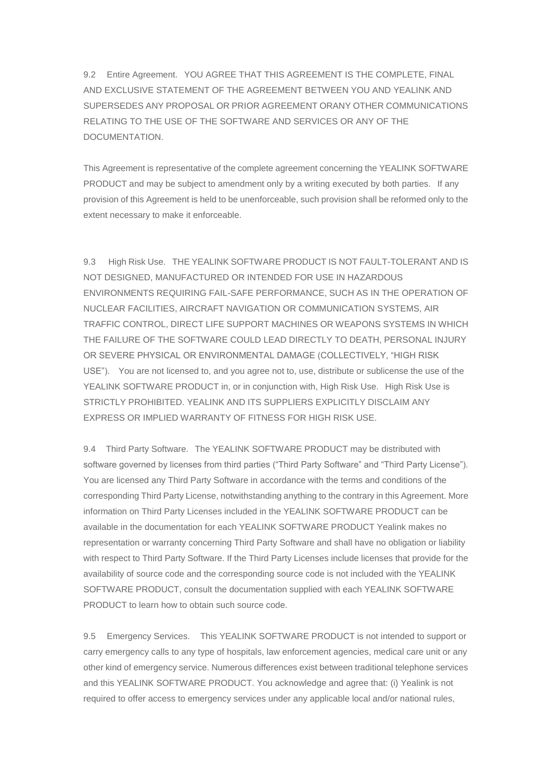9.2 Entire Agreement. YOU AGREE THAT THIS AGREEMENT IS THE COMPLETE, FINAL AND EXCLUSIVE STATEMENT OF THE AGREEMENT BETWEEN YOU AND YEALINK AND SUPERSEDES ANY PROPOSAL OR PRIOR AGREEMENT ORANY OTHER COMMUNICATIONS RELATING TO THE USE OF THE SOFTWARE AND SERVICES OR ANY OF THE DOCUMENTATION.

This Agreement is representative of the complete agreement concerning the YEALINK SOFTWARE PRODUCT and may be subject to amendment only by a writing executed by both parties. If any provision of this Agreement is held to be unenforceable, such provision shall be reformed only to the extent necessary to make it enforceable.

9.3 High Risk Use. THE YEALINK SOFTWARE PRODUCT IS NOT FAULT-TOLERANT AND IS NOT DESIGNED, MANUFACTURED OR INTENDED FOR USE IN HAZARDOUS ENVIRONMENTS REQUIRING FAIL-SAFE PERFORMANCE, SUCH AS IN THE OPERATION OF NUCLEAR FACILITIES, AIRCRAFT NAVIGATION OR COMMUNICATION SYSTEMS, AIR TRAFFIC CONTROL, DIRECT LIFE SUPPORT MACHINES OR WEAPONS SYSTEMS IN WHICH THE FAILURE OF THE SOFTWARE COULD LEAD DIRECTLY TO DEATH, PERSONAL INJURY OR SEVERE PHYSICAL OR ENVIRONMENTAL DAMAGE (COLLECTIVELY, "HIGH RISK USE"). You are not licensed to, and you agree not to, use, distribute or sublicense the use of the YEALINK SOFTWARE PRODUCT in, or in conjunction with, High Risk Use. High Risk Use is STRICTLY PROHIBITED. YEALINK AND ITS SUPPLIERS EXPLICITLY DISCLAIM ANY EXPRESS OR IMPLIED WARRANTY OF FITNESS FOR HIGH RISK USE.

9.4 Third Party Software. The YEALINK SOFTWARE PRODUCT may be distributed with software governed by licenses from third parties ("Third Party Software" and "Third Party License"). You are licensed any Third Party Software in accordance with the terms and conditions of the corresponding Third Party License, notwithstanding anything to the contrary in this Agreement. More information on Third Party Licenses included in the YEALINK SOFTWARE PRODUCT can be available in the documentation for each YEALINK SOFTWARE PRODUCT Yealink makes no representation or warranty concerning Third Party Software and shall have no obligation or liability with respect to Third Party Software. If the Third Party Licenses include licenses that provide for the availability of source code and the corresponding source code is not included with the YEALINK SOFTWARE PRODUCT, consult the documentation supplied with each YEALINK SOFTWARE PRODUCT to learn how to obtain such source code.

9.5 Emergency Services. This YEALINK SOFTWARE PRODUCT is not intended to support or carry emergency calls to any type of hospitals, law enforcement agencies, medical care unit or any other kind of emergency service. Numerous differences exist between traditional telephone services and this YEALINK SOFTWARE PRODUCT. You acknowledge and agree that: (i) Yealink is not required to offer access to emergency services under any applicable local and/or national rules,